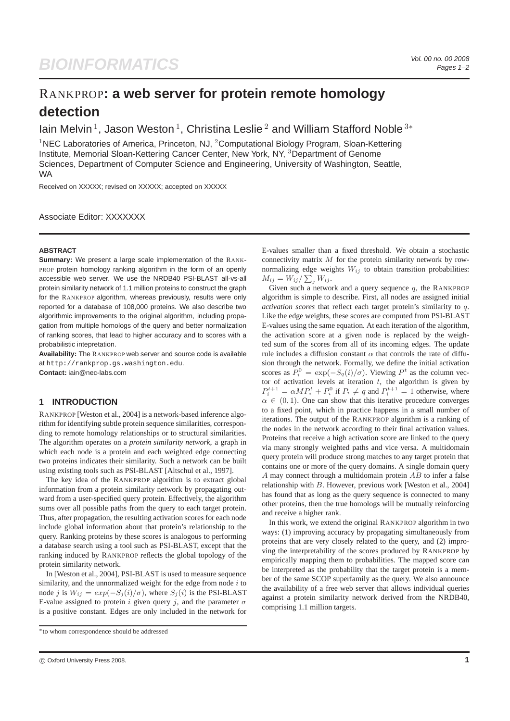# RANKPROP**: a web server for protein remote homology detection**

lain Melvin<sup>1</sup>, Jason Weston<sup>1</sup>, Christina Leslie<sup>2</sup> and William Stafford Noble<sup>3\*</sup>

<sup>1</sup>NEC Laboratories of America, Princeton, NJ, <sup>2</sup>Computational Biology Program, Sloan-Kettering Institute, Memorial Sloan-Kettering Cancer Center, New York, NY, <sup>3</sup>Department of Genome Sciences, Department of Computer Science and Engineering, University of Washington, Seattle, WA

Received on XXXXX; revised on XXXXX; accepted on XXXXX

Associate Editor: XXXXXXX

### **ABSTRACT**

**Summary:** We present a large scale implementation of the RANK-PROP protein homology ranking algorithm in the form of an openly accessible web server. We use the NRDB40 PSI-BLAST all-vs-all protein similarity network of 1.1 million proteins to construct the graph for the RANKPROP algorithm, whereas previously, results were only reported for a database of 108,000 proteins. We also describe two algorithmic improvements to the original algorithm, including propagation from multiple homologs of the query and better normalization of ranking scores, that lead to higher accuracy and to scores with a probabilistic intepretation.

**Availability:** The RANKPROP web server and source code is available at http://rankprop.gs.washington.edu. **Contact:** iain@nec-labs.com

# **1 INTRODUCTION**

RANKPROP [Weston et al., 2004] is a network-based inference algorithm for identifying subtle protein sequence similarities, corresponding to remote homology relationships or to structural similarities. The algorithm operates on a *protein similarity network*, a graph in which each node is a protein and each weighted edge connecting two proteins indicates their similarity. Such a network can be built using existing tools such as PSI-BLAST [Altschul et al., 1997].

The key idea of the RANKPROP algorithm is to extract global information from a protein similarity network by propagating outward from a user-specified query protein. Effectively, the algorithm sums over all possible paths from the query to each target protein. Thus, after propagation, the resulting activation scores for each node include global information about that protein's relationship to the query. Ranking proteins by these scores is analogous to performing a database search using a tool such as PSI-BLAST, except that the ranking induced by RANKPROP reflects the global topology of the protein similarity network.

In [Weston et al., 2004], PSI-BLAST is used to measure sequence similarity, and the unnormalized weight for the edge from node  $i$  to node j is  $W_{ij} = exp(-S_j(i)/\sigma)$ , where  $S_j(i)$  is the PSI-BLAST E-value assigned to protein i given query j, and the parameter  $\sigma$ is a positive constant. Edges are only included in the network for E-values smaller than a fixed threshold. We obtain a stochastic connectivity matrix  $M$  for the protein similarity network by rownormalizing edge weights  $W_{ij}$  to obtain transition probabilities:  $M_{ij} = W_{ij} / \sum_j W_{ij}.$ 

Given such a network and a query sequence  $q$ , the RANKPROP algorithm is simple to describe. First, all nodes are assigned initial *activation scores* that reflect each target protein's similarity to q. Like the edge weights, these scores are computed from PSI-BLAST E-values using the same equation. At each iteration of the algorithm, the activation score at a given node is replaced by the weighted sum of the scores from all of its incoming edges. The update rule includes a diffusion constant  $\alpha$  that controls the rate of diffusion through the network. Formally, we define the initial activation scores as  $P_i^0 = \exp(-S_q(i)/\sigma)$ . Viewing  $P^t$  as the column vector of activation levels at iteration  $t$ , the algorithm is given by  $P_i^{t+1} = \alpha M P_i^t + P_i^0$  if  $P_i \neq q$  and  $P_i^{t+1} = 1$  otherwise, where  $\alpha \in (0, 1)$ . One can show that this iterative procedure converges to a fixed point, which in practice happens in a small number of iterations. The output of the RANKPROP algorithm is a ranking of the nodes in the network according to their final activation values. Proteins that receive a high activation score are linked to the query via many strongly weighted paths and vice versa. A multidomain query protein will produce strong matches to any target protein that contains one or more of the query domains. A single domain query A may connect through a multidomain protein  $AB$  to infer a false relationship with B. However, previous work [Weston et al., 2004] has found that as long as the query sequence is connected to many other proteins, then the true homologs will be mutually reinforcing and receive a higher rank.

In this work, we extend the original RANKPROP algorithm in two ways: (1) improving accuracy by propagating simultaneously from proteins that are very closely related to the query, and (2) improving the interpretability of the scores produced by RANKPROP by empirically mapping them to probabilities. The mapped score can be interpreted as the probability that the target protein is a member of the same SCOP superfamily as the query. We also announce the availability of a free web server that allows individual queries against a protein similarity network derived from the NRDB40, comprising 1.1 million targets.

<sup>∗</sup>to whom correspondence should be addressed